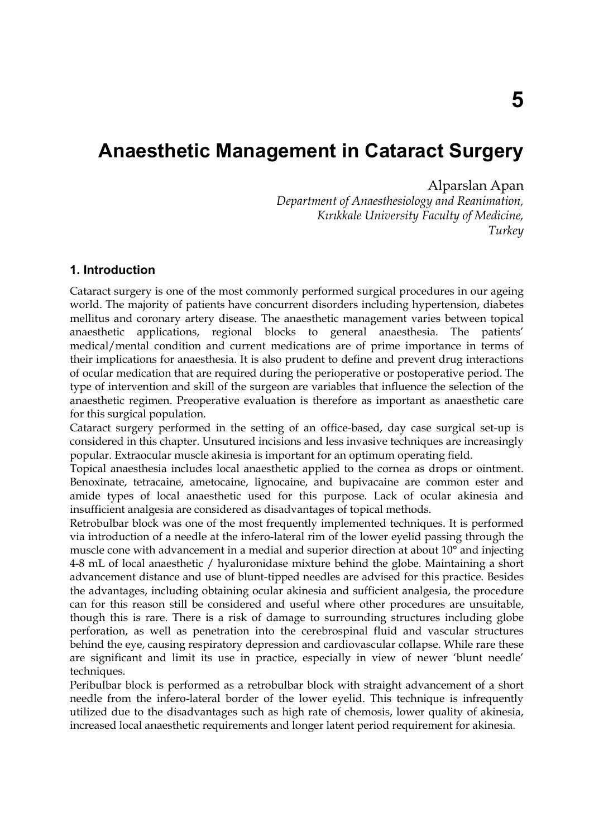# **Anaesthetic Management in Cataract Surgery**

# Alparslan Apan

*Department of Anaesthesiology and Reanimation, Kırıkkale University Faculty of Medicine, Turkey* 

# **1. Introduction**

Cataract surgery is one of the most commonly performed surgical procedures in our ageing world. The majority of patients have concurrent disorders including hypertension, diabetes mellitus and coronary artery disease. The anaesthetic management varies between topical anaesthetic applications, regional blocks to general anaesthesia. The patients' medical/mental condition and current medications are of prime importance in terms of their implications for anaesthesia. It is also prudent to define and prevent drug interactions of ocular medication that are required during the perioperative or postoperative period. The type of intervention and skill of the surgeon are variables that influence the selection of the anaesthetic regimen. Preoperative evaluation is therefore as important as anaesthetic care for this surgical population.

Cataract surgery performed in the setting of an office-based, day case surgical set-up is considered in this chapter. Unsutured incisions and less invasive techniques are increasingly popular. Extraocular muscle akinesia is important for an optimum operating field.

Topical anaesthesia includes local anaesthetic applied to the cornea as drops or ointment. Benoxinate, tetracaine, ametocaine, lignocaine, and bupivacaine are common ester and amide types of local anaesthetic used for this purpose. Lack of ocular akinesia and insufficient analgesia are considered as disadvantages of topical methods.

Retrobulbar block was one of the most frequently implemented techniques. It is performed via introduction of a needle at the infero-lateral rim of the lower eyelid passing through the muscle cone with advancement in a medial and superior direction at about 10° and injecting 4-8 mL of local anaesthetic / hyaluronidase mixture behind the globe. Maintaining a short advancement distance and use of blunt-tipped needles are advised for this practice. Besides the advantages, including obtaining ocular akinesia and sufficient analgesia, the procedure can for this reason still be considered and useful where other procedures are unsuitable, though this is rare. There is a risk of damage to surrounding structures including globe perforation, as well as penetration into the cerebrospinal fluid and vascular structures behind the eye, causing respiratory depression and cardiovascular collapse. While rare these are significant and limit its use in practice, especially in view of newer 'blunt needle' techniques.

Peribulbar block is performed as a retrobulbar block with straight advancement of a short needle from the infero-lateral border of the lower eyelid. This technique is infrequently utilized due to the disadvantages such as high rate of chemosis, lower quality of akinesia, increased local anaesthetic requirements and longer latent period requirement for akinesia.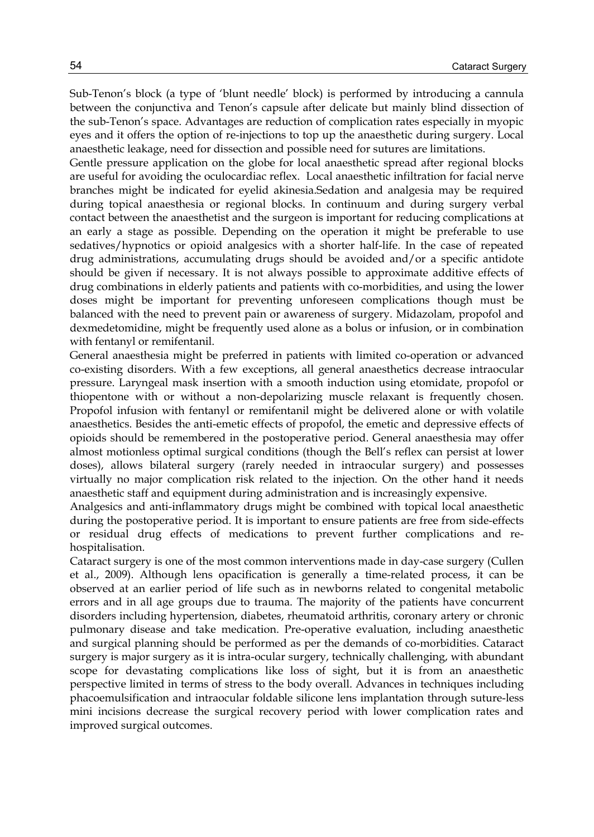Sub-Tenon's block (a type of 'blunt needle' block) is performed by introducing a cannula between the conjunctiva and Tenon's capsule after delicate but mainly blind dissection of the sub-Tenon's space. Advantages are reduction of complication rates especially in myopic eyes and it offers the option of re-injections to top up the anaesthetic during surgery. Local anaesthetic leakage, need for dissection and possible need for sutures are limitations.

Gentle pressure application on the globe for local anaesthetic spread after regional blocks are useful for avoiding the oculocardiac reflex. Local anaesthetic infiltration for facial nerve branches might be indicated for eyelid akinesia.Sedation and analgesia may be required during topical anaesthesia or regional blocks. In continuum and during surgery verbal contact between the anaesthetist and the surgeon is important for reducing complications at an early a stage as possible. Depending on the operation it might be preferable to use sedatives/hypnotics or opioid analgesics with a shorter half-life. In the case of repeated drug administrations, accumulating drugs should be avoided and/or a specific antidote should be given if necessary. It is not always possible to approximate additive effects of drug combinations in elderly patients and patients with co-morbidities, and using the lower doses might be important for preventing unforeseen complications though must be balanced with the need to prevent pain or awareness of surgery. Midazolam, propofol and dexmedetomidine, might be frequently used alone as a bolus or infusion, or in combination with fentanyl or remifentanil.

General anaesthesia might be preferred in patients with limited co-operation or advanced co-existing disorders. With a few exceptions, all general anaesthetics decrease intraocular pressure. Laryngeal mask insertion with a smooth induction using etomidate, propofol or thiopentone with or without a non-depolarizing muscle relaxant is frequently chosen. Propofol infusion with fentanyl or remifentanil might be delivered alone or with volatile anaesthetics. Besides the anti-emetic effects of propofol, the emetic and depressive effects of opioids should be remembered in the postoperative period. General anaesthesia may offer almost motionless optimal surgical conditions (though the Bell's reflex can persist at lower doses), allows bilateral surgery (rarely needed in intraocular surgery) and possesses virtually no major complication risk related to the injection. On the other hand it needs anaesthetic staff and equipment during administration and is increasingly expensive.

Analgesics and anti-inflammatory drugs might be combined with topical local anaesthetic during the postoperative period. It is important to ensure patients are free from side-effects or residual drug effects of medications to prevent further complications and rehospitalisation.

Cataract surgery is one of the most common interventions made in day-case surgery (Cullen et al., 2009). Although lens opacification is generally a time-related process, it can be observed at an earlier period of life such as in newborns related to congenital metabolic errors and in all age groups due to trauma. The majority of the patients have concurrent disorders including hypertension, diabetes, rheumatoid arthritis, coronary artery or chronic pulmonary disease and take medication. Pre-operative evaluation, including anaesthetic and surgical planning should be performed as per the demands of co-morbidities. Cataract surgery is major surgery as it is intra-ocular surgery, technically challenging, with abundant scope for devastating complications like loss of sight, but it is from an anaesthetic perspective limited in terms of stress to the body overall. Advances in techniques including phacoemulsification and intraocular foldable silicone lens implantation through suture-less mini incisions decrease the surgical recovery period with lower complication rates and improved surgical outcomes.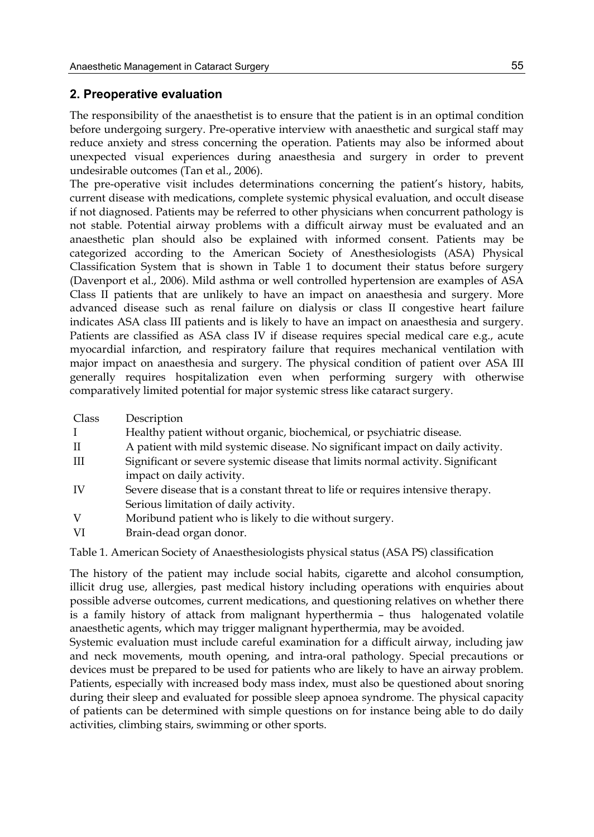## **2. Preoperative evaluation**

The responsibility of the anaesthetist is to ensure that the patient is in an optimal condition before undergoing surgery. Pre-operative interview with anaesthetic and surgical staff may reduce anxiety and stress concerning the operation. Patients may also be informed about unexpected visual experiences during anaesthesia and surgery in order to prevent undesirable outcomes (Tan et al., 2006).

The pre-operative visit includes determinations concerning the patient's history, habits, current disease with medications, complete systemic physical evaluation, and occult disease if not diagnosed. Patients may be referred to other physicians when concurrent pathology is not stable. Potential airway problems with a difficult airway must be evaluated and an anaesthetic plan should also be explained with informed consent. Patients may be categorized according to the American Society of Anesthesiologists (ASA) Physical Classification System that is shown in Table 1 to document their status before surgery (Davenport et al., 2006). Mild asthma or well controlled hypertension are examples of ASA Class II patients that are unlikely to have an impact on anaesthesia and surgery. More advanced disease such as renal failure on dialysis or class II congestive heart failure indicates ASA class III patients and is likely to have an impact on anaesthesia and surgery. Patients are classified as ASA class IV if disease requires special medical care e.g., acute myocardial infarction, and respiratory failure that requires mechanical ventilation with major impact on anaesthesia and surgery. The physical condition of patient over ASA III generally requires hospitalization even when performing surgery with otherwise comparatively limited potential for major systemic stress like cataract surgery.

| Class | Description                                                                     |
|-------|---------------------------------------------------------------------------------|
|       | Healthy patient without organic, biochemical, or psychiatric disease.           |
| H     | A patient with mild systemic disease. No significant impact on daily activity.  |
| Ш     | Significant or severe systemic disease that limits normal activity. Significant |
|       | impact on daily activity.                                                       |
| IV    | Severe disease that is a constant threat to life or requires intensive therapy. |
|       | Serious limitation of daily activity.                                           |
| V     | Moribund patient who is likely to die without surgery.                          |
| T T   |                                                                                 |

VI Brain-dead organ donor.

Table 1. American Society of Anaesthesiologists physical status (ASA PS) classification

The history of the patient may include social habits, cigarette and alcohol consumption, illicit drug use, allergies, past medical history including operations with enquiries about possible adverse outcomes, current medications, and questioning relatives on whether there is a family history of attack from malignant hyperthermia – thus halogenated volatile anaesthetic agents, which may trigger malignant hyperthermia, may be avoided.

Systemic evaluation must include careful examination for a difficult airway, including jaw and neck movements, mouth opening, and intra-oral pathology. Special precautions or devices must be prepared to be used for patients who are likely to have an airway problem. Patients, especially with increased body mass index, must also be questioned about snoring during their sleep and evaluated for possible sleep apnoea syndrome. The physical capacity of patients can be determined with simple questions on for instance being able to do daily activities, climbing stairs, swimming or other sports.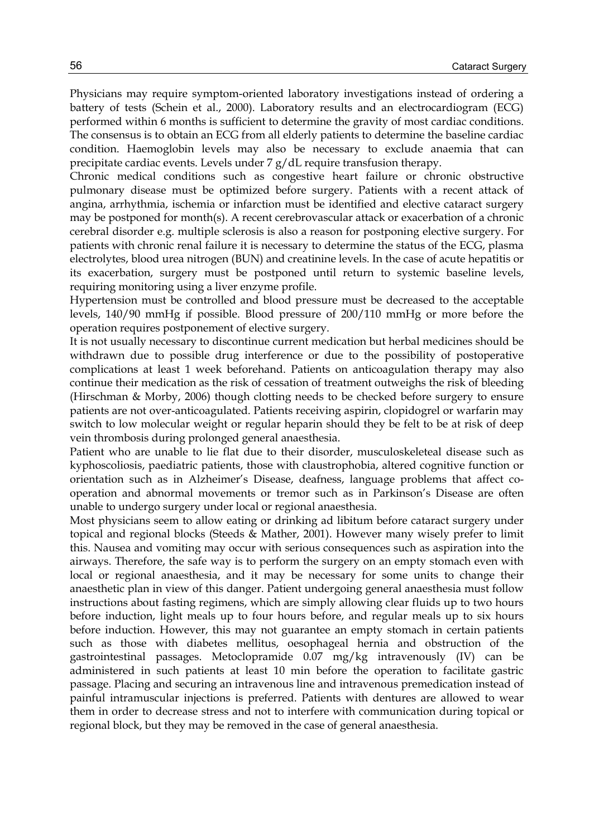Physicians may require symptom-oriented laboratory investigations instead of ordering a battery of tests (Schein et al., 2000). Laboratory results and an electrocardiogram (ECG) performed within 6 months is sufficient to determine the gravity of most cardiac conditions. The consensus is to obtain an ECG from all elderly patients to determine the baseline cardiac condition. Haemoglobin levels may also be necessary to exclude anaemia that can precipitate cardiac events. Levels under 7 g/dL require transfusion therapy.

Chronic medical conditions such as congestive heart failure or chronic obstructive pulmonary disease must be optimized before surgery. Patients with a recent attack of angina, arrhythmia, ischemia or infarction must be identified and elective cataract surgery may be postponed for month(s). A recent cerebrovascular attack or exacerbation of a chronic cerebral disorder e.g. multiple sclerosis is also a reason for postponing elective surgery. For patients with chronic renal failure it is necessary to determine the status of the ECG, plasma electrolytes, blood urea nitrogen (BUN) and creatinine levels. In the case of acute hepatitis or its exacerbation, surgery must be postponed until return to systemic baseline levels, requiring monitoring using a liver enzyme profile.

Hypertension must be controlled and blood pressure must be decreased to the acceptable levels, 140/90 mmHg if possible. Blood pressure of 200/110 mmHg or more before the operation requires postponement of elective surgery.

It is not usually necessary to discontinue current medication but herbal medicines should be withdrawn due to possible drug interference or due to the possibility of postoperative complications at least 1 week beforehand. Patients on anticoagulation therapy may also continue their medication as the risk of cessation of treatment outweighs the risk of bleeding (Hirschman & Morby, 2006) though clotting needs to be checked before surgery to ensure patients are not over-anticoagulated. Patients receiving aspirin, clopidogrel or warfarin may switch to low molecular weight or regular heparin should they be felt to be at risk of deep vein thrombosis during prolonged general anaesthesia.

Patient who are unable to lie flat due to their disorder, musculoskeleteal disease such as kyphoscoliosis, paediatric patients, those with claustrophobia, altered cognitive function or orientation such as in Alzheimer's Disease, deafness, language problems that affect cooperation and abnormal movements or tremor such as in Parkinson's Disease are often unable to undergo surgery under local or regional anaesthesia.

Most physicians seem to allow eating or drinking ad libitum before cataract surgery under topical and regional blocks (Steeds & Mather, 2001). However many wisely prefer to limit this. Nausea and vomiting may occur with serious consequences such as aspiration into the airways. Therefore, the safe way is to perform the surgery on an empty stomach even with local or regional anaesthesia, and it may be necessary for some units to change their anaesthetic plan in view of this danger. Patient undergoing general anaesthesia must follow instructions about fasting regimens, which are simply allowing clear fluids up to two hours before induction, light meals up to four hours before, and regular meals up to six hours before induction. However, this may not guarantee an empty stomach in certain patients such as those with diabetes mellitus, oesophageal hernia and obstruction of the gastrointestinal passages. Metoclopramide 0.07 mg/kg intravenously (IV) can be administered in such patients at least 10 min before the operation to facilitate gastric passage. Placing and securing an intravenous line and intravenous premedication instead of painful intramuscular injections is preferred. Patients with dentures are allowed to wear them in order to decrease stress and not to interfere with communication during topical or regional block, but they may be removed in the case of general anaesthesia.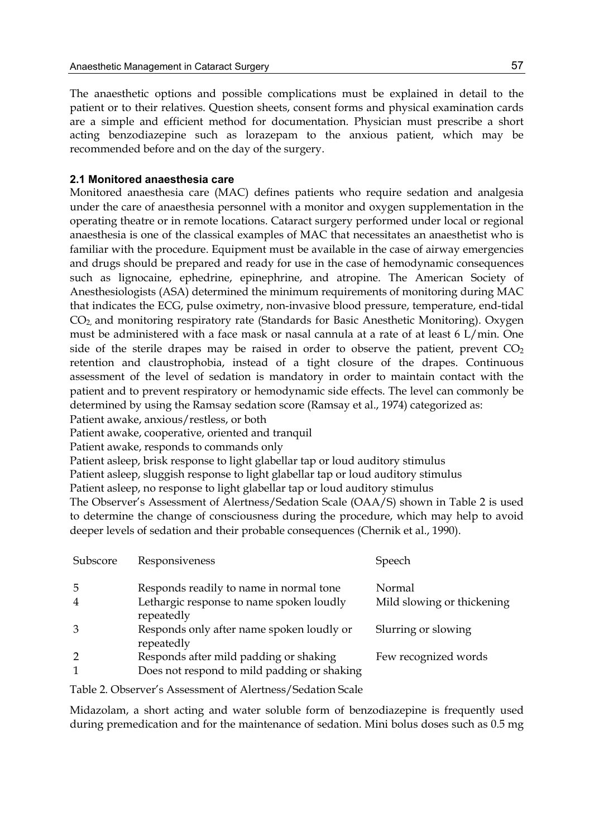The anaesthetic options and possible complications must be explained in detail to the patient or to their relatives. Question sheets, consent forms and physical examination cards are a simple and efficient method for documentation. Physician must prescribe a short acting benzodiazepine such as lorazepam to the anxious patient, which may be recommended before and on the day of the surgery.

## **2.1 Monitored anaesthesia care**

Monitored anaesthesia care (MAC) defines patients who require sedation and analgesia under the care of anaesthesia personnel with a monitor and oxygen supplementation in the operating theatre or in remote locations. Cataract surgery performed under local or regional anaesthesia is one of the classical examples of MAC that necessitates an anaesthetist who is familiar with the procedure. Equipment must be available in the case of airway emergencies and drugs should be prepared and ready for use in the case of hemodynamic consequences such as lignocaine, ephedrine, epinephrine, and atropine. The American Society of Anesthesiologists (ASA) determined the minimum requirements of monitoring during MAC that indicates the ECG, pulse oximetry, non-invasive blood pressure, temperature, end-tidal CO2, and monitoring respiratory rate (Standards for Basic Anesthetic Monitoring). Oxygen must be administered with a face mask or nasal cannula at a rate of at least 6 L/min. One side of the sterile drapes may be raised in order to observe the patient, prevent  $CO<sub>2</sub>$ retention and claustrophobia, instead of a tight closure of the drapes. Continuous assessment of the level of sedation is mandatory in order to maintain contact with the patient and to prevent respiratory or hemodynamic side effects. The level can commonly be determined by using the Ramsay sedation score (Ramsay et al., 1974) categorized as:

Patient awake, anxious/restless, or both

Patient awake, cooperative, oriented and tranquil

Patient awake, responds to commands only

Patient asleep, brisk response to light glabellar tap or loud auditory stimulus

Patient asleep, sluggish response to light glabellar tap or loud auditory stimulus

Patient asleep, no response to light glabellar tap or loud auditory stimulus

The Observer's Assessment of Alertness/Sedation Scale (OAA/S) shown in Table 2 is used to determine the change of consciousness during the procedure, which may help to avoid deeper levels of sedation and their probable consequences (Chernik et al., 1990).

| Subscore | Responsiveness                                          | Speech                     |
|----------|---------------------------------------------------------|----------------------------|
| 5        | Responds readily to name in normal tone                 | Normal                     |
|          | Lethargic response to name spoken loudly<br>repeatedly  | Mild slowing or thickening |
|          | Responds only after name spoken loudly or<br>repeatedly | Slurring or slowing        |
|          | Responds after mild padding or shaking                  | Few recognized words       |
|          | Does not respond to mild padding or shaking             |                            |

Table 2. Observer's Assessment of Alertness/Sedation Scale

Midazolam, a short acting and water soluble form of benzodiazepine is frequently used during premedication and for the maintenance of sedation. Mini bolus doses such as 0.5 mg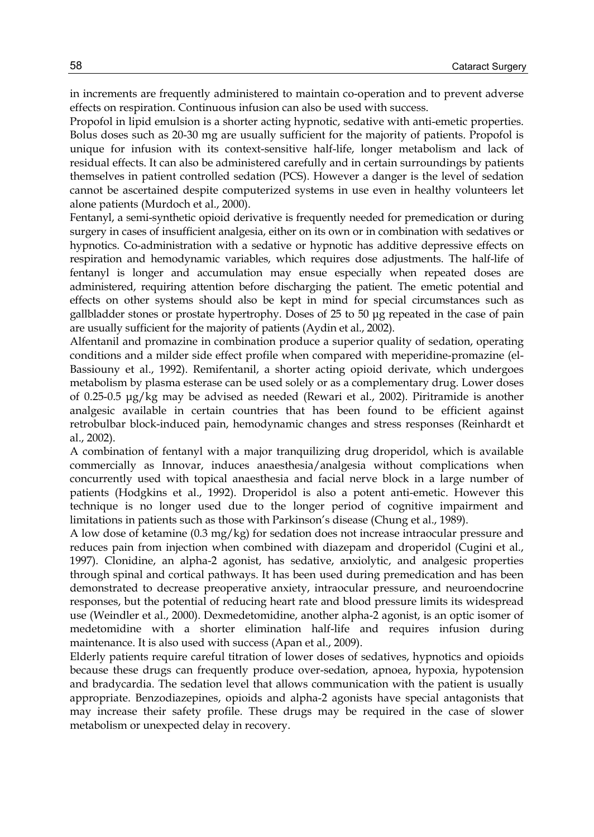in increments are frequently administered to maintain co-operation and to prevent adverse effects on respiration. Continuous infusion can also be used with success.

Propofol in lipid emulsion is a shorter acting hypnotic, sedative with anti-emetic properties. Bolus doses such as 20-30 mg are usually sufficient for the majority of patients. Propofol is unique for infusion with its context-sensitive half-life, longer metabolism and lack of residual effects. It can also be administered carefully and in certain surroundings by patients themselves in patient controlled sedation (PCS). However a danger is the level of sedation cannot be ascertained despite computerized systems in use even in healthy volunteers let alone patients (Murdoch et al., 2000).

Fentanyl, a semi-synthetic opioid derivative is frequently needed for premedication or during surgery in cases of insufficient analgesia, either on its own or in combination with sedatives or hypnotics. Co-administration with a sedative or hypnotic has additive depressive effects on respiration and hemodynamic variables, which requires dose adjustments. The half-life of fentanyl is longer and accumulation may ensue especially when repeated doses are administered, requiring attention before discharging the patient. The emetic potential and effects on other systems should also be kept in mind for special circumstances such as gallbladder stones or prostate hypertrophy. Doses of 25 to 50 μg repeated in the case of pain are usually sufficient for the majority of patients (Aydin et al., 2002).

Alfentanil and promazine in combination produce a superior quality of sedation, operating conditions and a milder side effect profile when compared with meperidine-promazine (el-Bassiouny et al., 1992). Remifentanil, a shorter acting opioid derivate, which undergoes metabolism by plasma esterase can be used solely or as a complementary drug. Lower doses of 0.25-0.5 μg/kg may be advised as needed (Rewari et al., 2002). Piritramide is another analgesic available in certain countries that has been found to be efficient against retrobulbar block-induced pain, hemodynamic changes and stress responses (Reinhardt et al., 2002).

A combination of fentanyl with a major tranquilizing drug droperidol, which is available commercially as Innovar, induces anaesthesia/analgesia without complications when concurrently used with topical anaesthesia and facial nerve block in a large number of patients (Hodgkins et al., 1992). Droperidol is also a potent anti-emetic. However this technique is no longer used due to the longer period of cognitive impairment and limitations in patients such as those with Parkinson's disease (Chung et al., 1989).

A low dose of ketamine (0.3 mg/kg) for sedation does not increase intraocular pressure and reduces pain from injection when combined with diazepam and droperidol (Cugini et al., 1997). Clonidine, an alpha-2 agonist, has sedative, anxiolytic, and analgesic properties through spinal and cortical pathways. It has been used during premedication and has been demonstrated to decrease preoperative anxiety, intraocular pressure, and neuroendocrine responses, but the potential of reducing heart rate and blood pressure limits its widespread use (Weindler et al., 2000). Dexmedetomidine, another alpha-2 agonist, is an optic isomer of medetomidine with a shorter elimination half-life and requires infusion during maintenance. It is also used with success (Apan et al., 2009).

Elderly patients require careful titration of lower doses of sedatives, hypnotics and opioids because these drugs can frequently produce over-sedation, apnoea, hypoxia, hypotension and bradycardia. The sedation level that allows communication with the patient is usually appropriate. Benzodiazepines, opioids and alpha-2 agonists have special antagonists that may increase their safety profile. These drugs may be required in the case of slower metabolism or unexpected delay in recovery.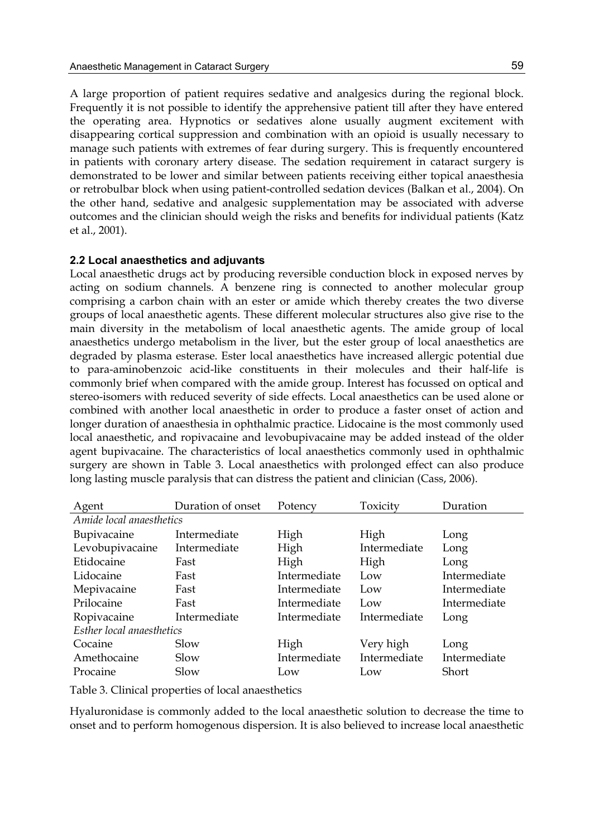A large proportion of patient requires sedative and analgesics during the regional block. Frequently it is not possible to identify the apprehensive patient till after they have entered the operating area. Hypnotics or sedatives alone usually augment excitement with disappearing cortical suppression and combination with an opioid is usually necessary to manage such patients with extremes of fear during surgery. This is frequently encountered in patients with coronary artery disease. The sedation requirement in cataract surgery is demonstrated to be lower and similar between patients receiving either topical anaesthesia or retrobulbar block when using patient-controlled sedation devices (Balkan et al., 2004). On the other hand, sedative and analgesic supplementation may be associated with adverse outcomes and the clinician should weigh the risks and benefits for individual patients (Katz et al., 2001).

#### **2.2 Local anaesthetics and adjuvants**

Local anaesthetic drugs act by producing reversible conduction block in exposed nerves by acting on sodium channels. A benzene ring is connected to another molecular group comprising a carbon chain with an ester or amide which thereby creates the two diverse groups of local anaesthetic agents. These different molecular structures also give rise to the main diversity in the metabolism of local anaesthetic agents. The amide group of local anaesthetics undergo metabolism in the liver, but the ester group of local anaesthetics are degraded by plasma esterase. Ester local anaesthetics have increased allergic potential due to para-aminobenzoic acid-like constituents in their molecules and their half-life is commonly brief when compared with the amide group. Interest has focussed on optical and stereo-isomers with reduced severity of side effects. Local anaesthetics can be used alone or combined with another local anaesthetic in order to produce a faster onset of action and longer duration of anaesthesia in ophthalmic practice. Lidocaine is the most commonly used local anaesthetic, and ropivacaine and levobupivacaine may be added instead of the older agent bupivacaine. The characteristics of local anaesthetics commonly used in ophthalmic surgery are shown in Table 3. Local anaesthetics with prolonged effect can also produce long lasting muscle paralysis that can distress the patient and clinician (Cass, 2006).

| Agent                     | Duration of onset | Potency      | Toxicity     | Duration     |  |  |  |
|---------------------------|-------------------|--------------|--------------|--------------|--|--|--|
| Amide local anaesthetics  |                   |              |              |              |  |  |  |
| <b>Bupivacaine</b>        | Intermediate      | High         | High         | Long         |  |  |  |
| Levobupivacaine           | Intermediate      | High         | Intermediate | Long         |  |  |  |
| Etidocaine                | Fast              | High         | High         | Long         |  |  |  |
| Lidocaine                 | Fast              | Intermediate | Low          | Intermediate |  |  |  |
| Mepivacaine               | Fast              | Intermediate | Low          | Intermediate |  |  |  |
| Prilocaine                | Fast              | Intermediate | Low          | Intermediate |  |  |  |
| Ropivacaine               | Intermediate      | Intermediate | Intermediate | Long         |  |  |  |
| Esther local anaesthetics |                   |              |              |              |  |  |  |
| Cocaine                   | Slow              | High         | Very high    | Long         |  |  |  |
| Amethocaine               | Slow              | Intermediate | Intermediate | Intermediate |  |  |  |
| Procaine                  | Slow              | Low          | Low          | Short        |  |  |  |

Table 3. Clinical properties of local anaesthetics

Hyaluronidase is commonly added to the local anaesthetic solution to decrease the time to onset and to perform homogenous dispersion. It is also believed to increase local anaesthetic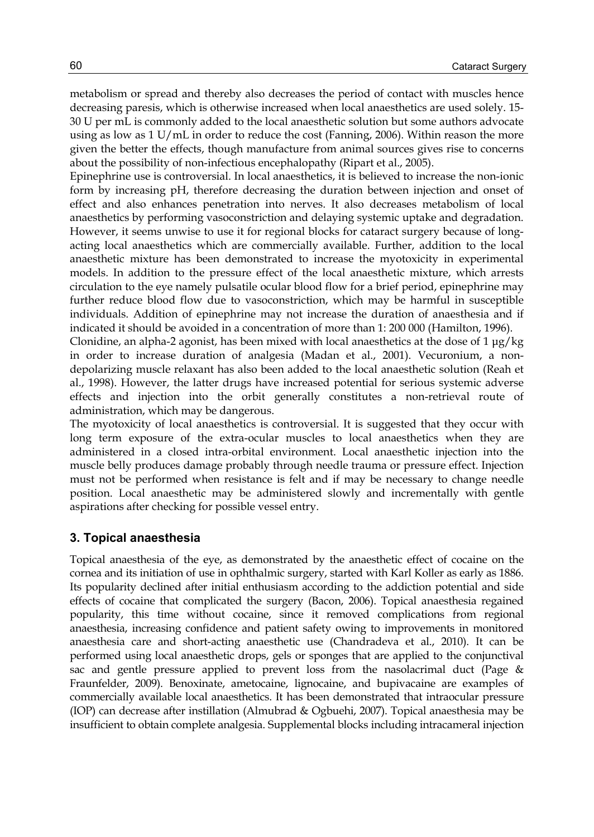metabolism or spread and thereby also decreases the period of contact with muscles hence decreasing paresis, which is otherwise increased when local anaesthetics are used solely. 15- 30 U per mL is commonly added to the local anaesthetic solution but some authors advocate using as low as  $1 U/mL$  in order to reduce the cost (Fanning, 2006). Within reason the more given the better the effects, though manufacture from animal sources gives rise to concerns about the possibility of non-infectious encephalopathy (Ripart et al., 2005).

Epinephrine use is controversial. In local anaesthetics, it is believed to increase the non-ionic form by increasing pH, therefore decreasing the duration between injection and onset of effect and also enhances penetration into nerves. It also decreases metabolism of local anaesthetics by performing vasoconstriction and delaying systemic uptake and degradation. However, it seems unwise to use it for regional blocks for cataract surgery because of longacting local anaesthetics which are commercially available. Further, addition to the local anaesthetic mixture has been demonstrated to increase the myotoxicity in experimental models. In addition to the pressure effect of the local anaesthetic mixture, which arrests circulation to the eye namely pulsatile ocular blood flow for a brief period, epinephrine may further reduce blood flow due to vasoconstriction, which may be harmful in susceptible individuals. Addition of epinephrine may not increase the duration of anaesthesia and if indicated it should be avoided in a concentration of more than 1: 200 000 (Hamilton, 1996).

Clonidine, an alpha-2 agonist, has been mixed with local anaesthetics at the dose of 1 μg/kg in order to increase duration of analgesia (Madan et al., 2001). Vecuronium, a nondepolarizing muscle relaxant has also been added to the local anaesthetic solution (Reah et al., 1998). However, the latter drugs have increased potential for serious systemic adverse effects and injection into the orbit generally constitutes a non-retrieval route of administration, which may be dangerous.

The myotoxicity of local anaesthetics is controversial. It is suggested that they occur with long term exposure of the extra-ocular muscles to local anaesthetics when they are administered in a closed intra-orbital environment. Local anaesthetic injection into the muscle belly produces damage probably through needle trauma or pressure effect. Injection must not be performed when resistance is felt and if may be necessary to change needle position. Local anaesthetic may be administered slowly and incrementally with gentle aspirations after checking for possible vessel entry.

#### **3. Topical anaesthesia**

Topical anaesthesia of the eye, as demonstrated by the anaesthetic effect of cocaine on the cornea and its initiation of use in ophthalmic surgery, started with Karl Koller as early as 1886. Its popularity declined after initial enthusiasm according to the addiction potential and side effects of cocaine that complicated the surgery (Bacon, 2006). Topical anaesthesia regained popularity, this time without cocaine, since it removed complications from regional anaesthesia, increasing confidence and patient safety owing to improvements in monitored anaesthesia care and short-acting anaesthetic use (Chandradeva et al., 2010). It can be performed using local anaesthetic drops, gels or sponges that are applied to the conjunctival sac and gentle pressure applied to prevent loss from the nasolacrimal duct (Page & Fraunfelder, 2009). Benoxinate, ametocaine, lignocaine, and bupivacaine are examples of commercially available local anaesthetics. It has been demonstrated that intraocular pressure (IOP) can decrease after instillation (Almubrad & Ogbuehi, 2007). Topical anaesthesia may be insufficient to obtain complete analgesia. Supplemental blocks including intracameral injection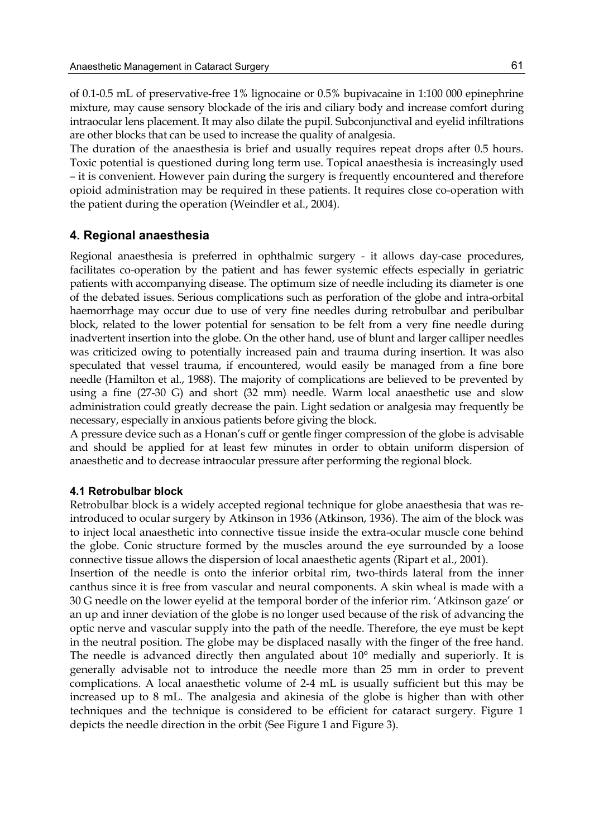of 0.1-0.5 mL of preservative-free 1% lignocaine or 0.5% bupivacaine in 1:100 000 epinephrine mixture, may cause sensory blockade of the iris and ciliary body and increase comfort during intraocular lens placement. It may also dilate the pupil. Subconjunctival and eyelid infiltrations are other blocks that can be used to increase the quality of analgesia.

The duration of the anaesthesia is brief and usually requires repeat drops after 0.5 hours. Toxic potential is questioned during long term use. Topical anaesthesia is increasingly used – it is convenient. However pain during the surgery is frequently encountered and therefore opioid administration may be required in these patients. It requires close co-operation with the patient during the operation (Weindler et al., 2004).

## **4. Regional anaesthesia**

Regional anaesthesia is preferred in ophthalmic surgery - it allows day-case procedures, facilitates co-operation by the patient and has fewer systemic effects especially in geriatric patients with accompanying disease. The optimum size of needle including its diameter is one of the debated issues. Serious complications such as perforation of the globe and intra-orbital haemorrhage may occur due to use of very fine needles during retrobulbar and peribulbar block, related to the lower potential for sensation to be felt from a very fine needle during inadvertent insertion into the globe. On the other hand, use of blunt and larger calliper needles was criticized owing to potentially increased pain and trauma during insertion. It was also speculated that vessel trauma, if encountered, would easily be managed from a fine bore needle (Hamilton et al., 1988). The majority of complications are believed to be prevented by using a fine (27-30 G) and short (32 mm) needle. Warm local anaesthetic use and slow administration could greatly decrease the pain. Light sedation or analgesia may frequently be necessary, especially in anxious patients before giving the block.

A pressure device such as a Honan's cuff or gentle finger compression of the globe is advisable and should be applied for at least few minutes in order to obtain uniform dispersion of anaesthetic and to decrease intraocular pressure after performing the regional block.

#### **4.1 Retrobulbar block**

Retrobulbar block is a widely accepted regional technique for globe anaesthesia that was reintroduced to ocular surgery by Atkinson in 1936 (Atkinson, 1936). The aim of the block was to inject local anaesthetic into connective tissue inside the extra-ocular muscle cone behind the globe. Conic structure formed by the muscles around the eye surrounded by a loose connective tissue allows the dispersion of local anaesthetic agents (Ripart et al., 2001).

Insertion of the needle is onto the inferior orbital rim, two-thirds lateral from the inner canthus since it is free from vascular and neural components. A skin wheal is made with a 30 G needle on the lower eyelid at the temporal border of the inferior rim. 'Atkinson gaze' or an up and inner deviation of the globe is no longer used because of the risk of advancing the optic nerve and vascular supply into the path of the needle. Therefore, the eye must be kept in the neutral position. The globe may be displaced nasally with the finger of the free hand. The needle is advanced directly then angulated about 10° medially and superiorly. It is generally advisable not to introduce the needle more than 25 mm in order to prevent complications. A local anaesthetic volume of 2-4 mL is usually sufficient but this may be increased up to 8 mL. The analgesia and akinesia of the globe is higher than with other techniques and the technique is considered to be efficient for cataract surgery. Figure 1 depicts the needle direction in the orbit (See Figure 1 and Figure 3).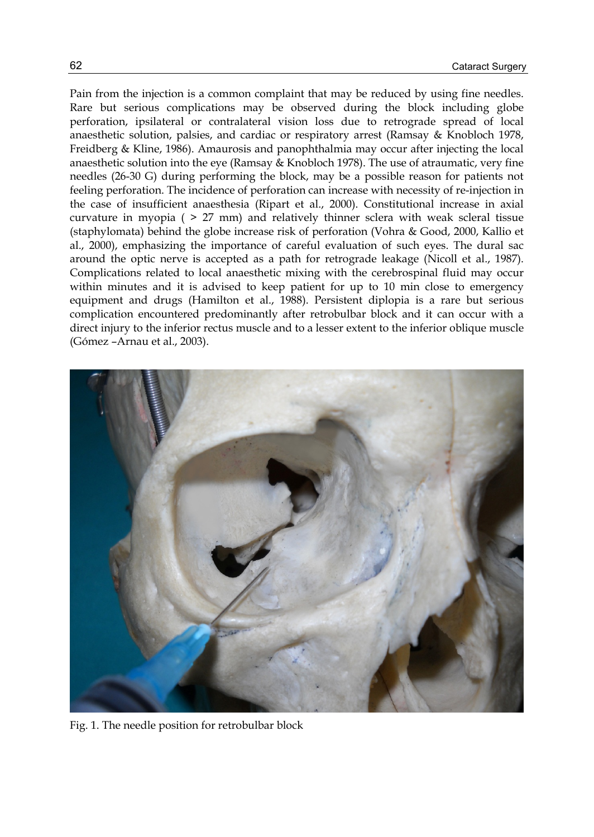Pain from the injection is a common complaint that may be reduced by using fine needles. Rare but serious complications may be observed during the block including globe perforation, ipsilateral or contralateral vision loss due to retrograde spread of local anaesthetic solution, palsies, and cardiac or respiratory arrest (Ramsay & Knobloch 1978, Freidberg & Kline, 1986). Amaurosis and panophthalmia may occur after injecting the local anaesthetic solution into the eye (Ramsay & Knobloch 1978). The use of atraumatic, very fine needles (26-30 G) during performing the block, may be a possible reason for patients not feeling perforation. The incidence of perforation can increase with necessity of re-injection in the case of insufficient anaesthesia (Ripart et al., 2000). Constitutional increase in axial curvature in myopia ( > 27 mm) and relatively thinner sclera with weak scleral tissue (staphylomata) behind the globe increase risk of perforation (Vohra & Good, 2000, Kallio et al., 2000), emphasizing the importance of careful evaluation of such eyes. The dural sac around the optic nerve is accepted as a path for retrograde leakage (Nicoll et al., 1987). Complications related to local anaesthetic mixing with the cerebrospinal fluid may occur within minutes and it is advised to keep patient for up to 10 min close to emergency equipment and drugs (Hamilton et al., 1988). Persistent diplopia is a rare but serious complication encountered predominantly after retrobulbar block and it can occur with a direct injury to the inferior rectus muscle and to a lesser extent to the inferior oblique muscle (Gómez –Arnau et al., 2003).



Fig. 1. The needle position for retrobulbar block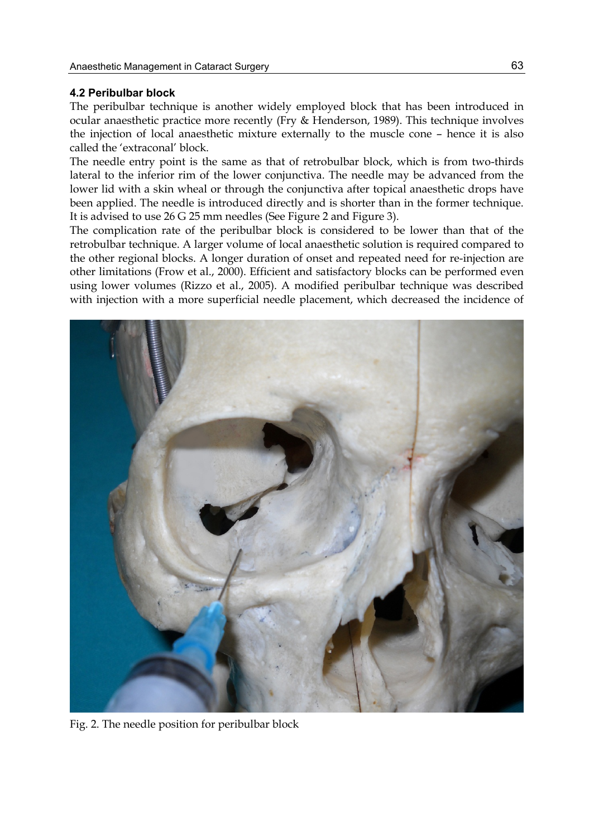#### **4.2 Peribulbar block**

The peribulbar technique is another widely employed block that has been introduced in ocular anaesthetic practice more recently (Fry & Henderson, 1989). This technique involves the injection of local anaesthetic mixture externally to the muscle cone – hence it is also called the 'extraconal' block.

The needle entry point is the same as that of retrobulbar block, which is from two-thirds lateral to the inferior rim of the lower conjunctiva. The needle may be advanced from the lower lid with a skin wheal or through the conjunctiva after topical anaesthetic drops have been applied. The needle is introduced directly and is shorter than in the former technique. It is advised to use 26 G 25 mm needles (See Figure 2 and Figure 3).

The complication rate of the peribulbar block is considered to be lower than that of the retrobulbar technique. A larger volume of local anaesthetic solution is required compared to the other regional blocks. A longer duration of onset and repeated need for re-injection are other limitations (Frow et al., 2000). Efficient and satisfactory blocks can be performed even using lower volumes (Rizzo et al., 2005). A modified peribulbar technique was described with injection with a more superficial needle placement, which decreased the incidence of



Fig. 2. The needle position for peribulbar block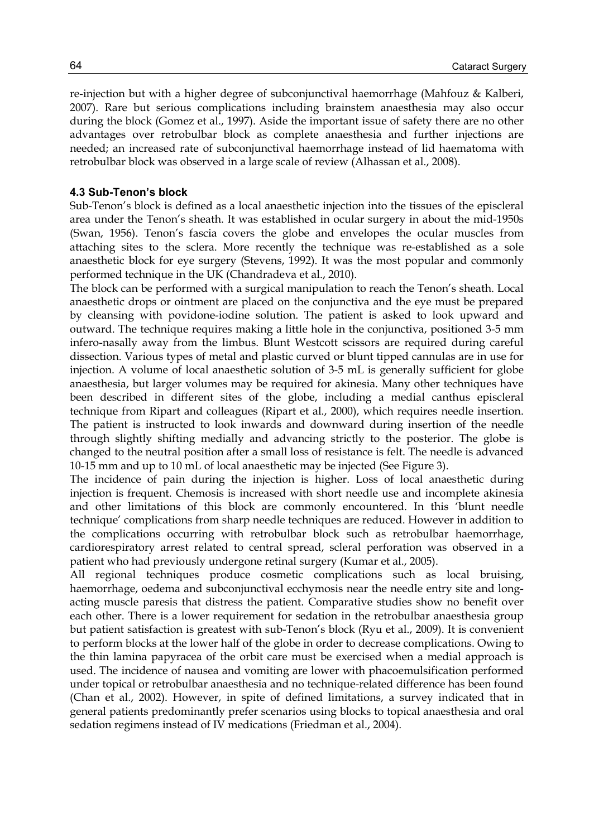re-injection but with a higher degree of subconjunctival haemorrhage (Mahfouz & Kalberi, 2007). Rare but serious complications including brainstem anaesthesia may also occur during the block (Gomez et al., 1997). Aside the important issue of safety there are no other advantages over retrobulbar block as complete anaesthesia and further injections are needed; an increased rate of subconjunctival haemorrhage instead of lid haematoma with retrobulbar block was observed in a large scale of review (Alhassan et al., 2008).

#### **4.3 Sub-Tenon's block**

Sub-Tenon's block is defined as a local anaesthetic injection into the tissues of the episcleral area under the Tenon's sheath. It was established in ocular surgery in about the mid-1950s (Swan, 1956). Tenon's fascia covers the globe and envelopes the ocular muscles from attaching sites to the sclera. More recently the technique was re-established as a sole anaesthetic block for eye surgery (Stevens, 1992). It was the most popular and commonly performed technique in the UK (Chandradeva et al., 2010).

The block can be performed with a surgical manipulation to reach the Tenon's sheath. Local anaesthetic drops or ointment are placed on the conjunctiva and the eye must be prepared by cleansing with povidone-iodine solution. The patient is asked to look upward and outward. The technique requires making a little hole in the conjunctiva, positioned 3-5 mm infero-nasally away from the limbus. Blunt Westcott scissors are required during careful dissection. Various types of metal and plastic curved or blunt tipped cannulas are in use for injection. A volume of local anaesthetic solution of 3-5 mL is generally sufficient for globe anaesthesia, but larger volumes may be required for akinesia. Many other techniques have been described in different sites of the globe, including a medial canthus episcleral technique from Ripart and colleagues (Ripart et al., 2000), which requires needle insertion. The patient is instructed to look inwards and downward during insertion of the needle through slightly shifting medially and advancing strictly to the posterior. The globe is changed to the neutral position after a small loss of resistance is felt. The needle is advanced 10-15 mm and up to 10 mL of local anaesthetic may be injected (See Figure 3).

The incidence of pain during the injection is higher. Loss of local anaesthetic during injection is frequent. Chemosis is increased with short needle use and incomplete akinesia and other limitations of this block are commonly encountered. In this 'blunt needle technique' complications from sharp needle techniques are reduced. However in addition to the complications occurring with retrobulbar block such as retrobulbar haemorrhage, cardiorespiratory arrest related to central spread, scleral perforation was observed in a patient who had previously undergone retinal surgery (Kumar et al., 2005).

All regional techniques produce cosmetic complications such as local bruising, haemorrhage, oedema and subconjunctival ecchymosis near the needle entry site and longacting muscle paresis that distress the patient. Comparative studies show no benefit over each other. There is a lower requirement for sedation in the retrobulbar anaesthesia group but patient satisfaction is greatest with sub-Tenon's block (Ryu et al., 2009). It is convenient to perform blocks at the lower half of the globe in order to decrease complications. Owing to the thin lamina papyracea of the orbit care must be exercised when a medial approach is used. The incidence of nausea and vomiting are lower with phacoemulsification performed under topical or retrobulbar anaesthesia and no technique-related difference has been found (Chan et al., 2002). However, in spite of defined limitations, a survey indicated that in general patients predominantly prefer scenarios using blocks to topical anaesthesia and oral sedation regimens instead of IV medications (Friedman et al., 2004).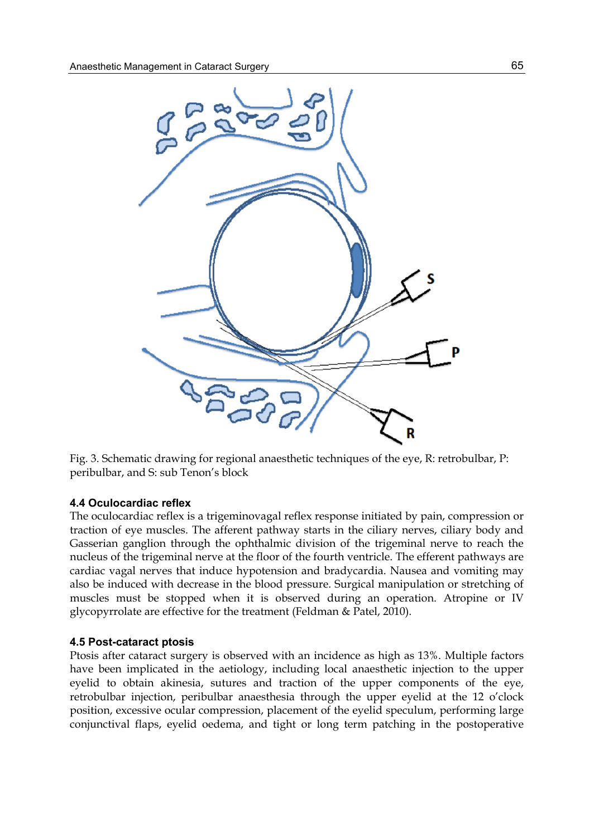

Fig. 3. Schematic drawing for regional anaesthetic techniques of the eye, R: retrobulbar, P: peribulbar, and S: sub Tenon's block

#### **4.4 Oculocardiac reflex**

The oculocardiac reflex is a trigeminovagal reflex response initiated by pain, compression or traction of eye muscles. The afferent pathway starts in the ciliary nerves, ciliary body and Gasserian ganglion through the ophthalmic division of the trigeminal nerve to reach the nucleus of the trigeminal nerve at the floor of the fourth ventricle. The efferent pathways are cardiac vagal nerves that induce hypotension and bradycardia. Nausea and vomiting may also be induced with decrease in the blood pressure. Surgical manipulation or stretching of muscles must be stopped when it is observed during an operation. Atropine or IV glycopyrrolate are effective for the treatment (Feldman & Patel, 2010).

#### **4.5 Post-cataract ptosis**

Ptosis after cataract surgery is observed with an incidence as high as 13%. Multiple factors have been implicated in the aetiology, including local anaesthetic injection to the upper eyelid to obtain akinesia, sutures and traction of the upper components of the eye, retrobulbar injection, peribulbar anaesthesia through the upper eyelid at the 12 o'clock position, excessive ocular compression, placement of the eyelid speculum, performing large conjunctival flaps, eyelid oedema, and tight or long term patching in the postoperative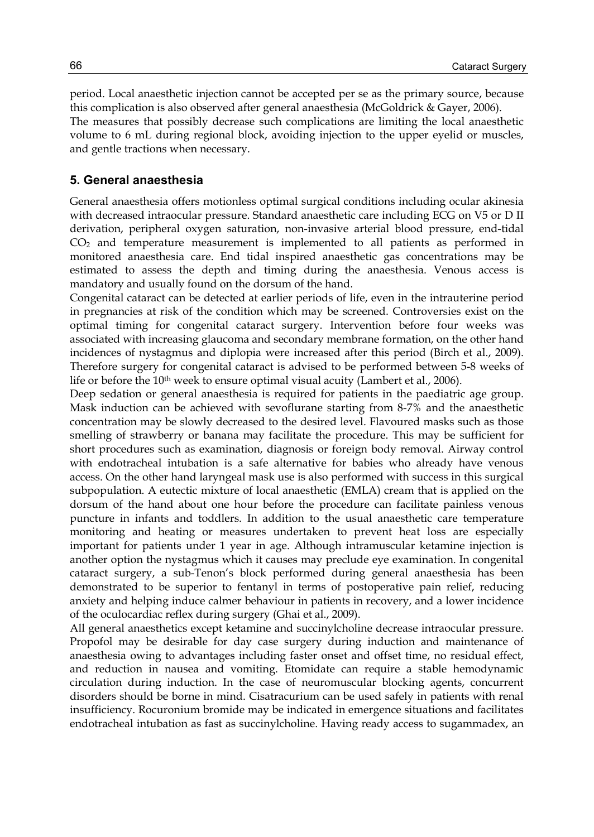period. Local anaesthetic injection cannot be accepted per se as the primary source, because this complication is also observed after general anaesthesia (McGoldrick & Gayer, 2006). The measures that possibly decrease such complications are limiting the local anaesthetic volume to 6 mL during regional block, avoiding injection to the upper eyelid or muscles, and gentle tractions when necessary.

#### **5. General anaesthesia**

General anaesthesia offers motionless optimal surgical conditions including ocular akinesia with decreased intraocular pressure. Standard anaesthetic care including ECG on V5 or D II derivation, peripheral oxygen saturation, non-invasive arterial blood pressure, end-tidal CO2 and temperature measurement is implemented to all patients as performed in monitored anaesthesia care. End tidal inspired anaesthetic gas concentrations may be estimated to assess the depth and timing during the anaesthesia. Venous access is mandatory and usually found on the dorsum of the hand.

Congenital cataract can be detected at earlier periods of life, even in the intrauterine period in pregnancies at risk of the condition which may be screened. Controversies exist on the optimal timing for congenital cataract surgery. Intervention before four weeks was associated with increasing glaucoma and secondary membrane formation, on the other hand incidences of nystagmus and diplopia were increased after this period (Birch et al., 2009). Therefore surgery for congenital cataract is advised to be performed between 5-8 weeks of life or before the 10<sup>th</sup> week to ensure optimal visual acuity (Lambert et al., 2006).

Deep sedation or general anaesthesia is required for patients in the paediatric age group. Mask induction can be achieved with sevoflurane starting from 8-7% and the anaesthetic concentration may be slowly decreased to the desired level. Flavoured masks such as those smelling of strawberry or banana may facilitate the procedure. This may be sufficient for short procedures such as examination, diagnosis or foreign body removal. Airway control with endotracheal intubation is a safe alternative for babies who already have venous access. On the other hand laryngeal mask use is also performed with success in this surgical subpopulation. A eutectic mixture of local anaesthetic (EMLA) cream that is applied on the dorsum of the hand about one hour before the procedure can facilitate painless venous puncture in infants and toddlers. In addition to the usual anaesthetic care temperature monitoring and heating or measures undertaken to prevent heat loss are especially important for patients under 1 year in age. Although intramuscular ketamine injection is another option the nystagmus which it causes may preclude eye examination. In congenital cataract surgery, a sub-Tenon's block performed during general anaesthesia has been demonstrated to be superior to fentanyl in terms of postoperative pain relief, reducing anxiety and helping induce calmer behaviour in patients in recovery, and a lower incidence of the oculocardiac reflex during surgery (Ghai et al., 2009).

All general anaesthetics except ketamine and succinylcholine decrease intraocular pressure. Propofol may be desirable for day case surgery during induction and maintenance of anaesthesia owing to advantages including faster onset and offset time, no residual effect, and reduction in nausea and vomiting. Etomidate can require a stable hemodynamic circulation during induction. In the case of neuromuscular blocking agents, concurrent disorders should be borne in mind. Cisatracurium can be used safely in patients with renal insufficiency. Rocuronium bromide may be indicated in emergence situations and facilitates endotracheal intubation as fast as succinylcholine. Having ready access to sugammadex, an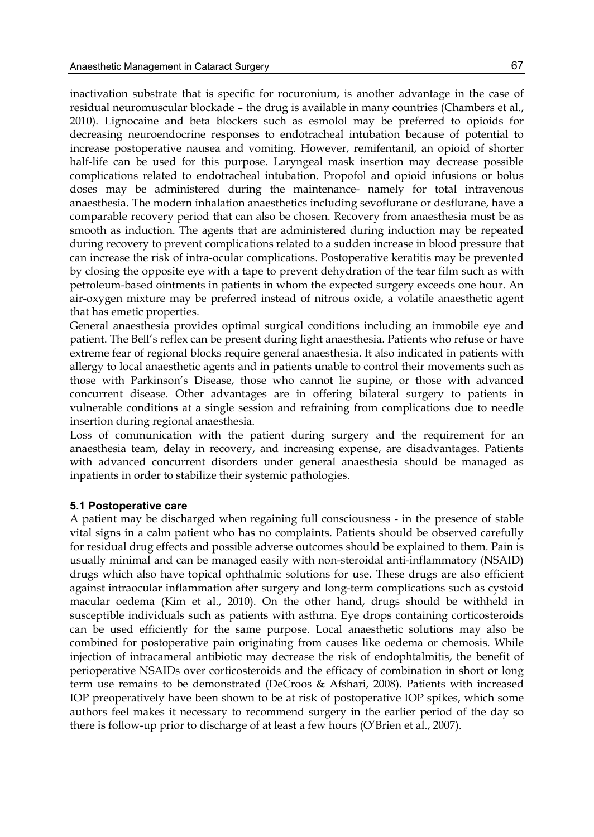inactivation substrate that is specific for rocuronium, is another advantage in the case of residual neuromuscular blockade – the drug is available in many countries (Chambers et al., 2010). Lignocaine and beta blockers such as esmolol may be preferred to opioids for decreasing neuroendocrine responses to endotracheal intubation because of potential to increase postoperative nausea and vomiting. However, remifentanil, an opioid of shorter half-life can be used for this purpose. Laryngeal mask insertion may decrease possible complications related to endotracheal intubation. Propofol and opioid infusions or bolus doses may be administered during the maintenance- namely for total intravenous anaesthesia. The modern inhalation anaesthetics including sevoflurane or desflurane, have a comparable recovery period that can also be chosen. Recovery from anaesthesia must be as smooth as induction. The agents that are administered during induction may be repeated during recovery to prevent complications related to a sudden increase in blood pressure that can increase the risk of intra-ocular complications. Postoperative keratitis may be prevented by closing the opposite eye with a tape to prevent dehydration of the tear film such as with petroleum-based ointments in patients in whom the expected surgery exceeds one hour. An air-oxygen mixture may be preferred instead of nitrous oxide, a volatile anaesthetic agent that has emetic properties.

General anaesthesia provides optimal surgical conditions including an immobile eye and patient. The Bell's reflex can be present during light anaesthesia. Patients who refuse or have extreme fear of regional blocks require general anaesthesia. It also indicated in patients with allergy to local anaesthetic agents and in patients unable to control their movements such as those with Parkinson's Disease, those who cannot lie supine, or those with advanced concurrent disease. Other advantages are in offering bilateral surgery to patients in vulnerable conditions at a single session and refraining from complications due to needle insertion during regional anaesthesia.

Loss of communication with the patient during surgery and the requirement for an anaesthesia team, delay in recovery, and increasing expense, are disadvantages. Patients with advanced concurrent disorders under general anaesthesia should be managed as inpatients in order to stabilize their systemic pathologies.

#### **5.1 Postoperative care**

A patient may be discharged when regaining full consciousness - in the presence of stable vital signs in a calm patient who has no complaints. Patients should be observed carefully for residual drug effects and possible adverse outcomes should be explained to them. Pain is usually minimal and can be managed easily with non-steroidal anti-inflammatory (NSAID) drugs which also have topical ophthalmic solutions for use. These drugs are also efficient against intraocular inflammation after surgery and long-term complications such as cystoid macular oedema (Kim et al., 2010). On the other hand, drugs should be withheld in susceptible individuals such as patients with asthma. Eye drops containing corticosteroids can be used efficiently for the same purpose. Local anaesthetic solutions may also be combined for postoperative pain originating from causes like oedema or chemosis. While injection of intracameral antibiotic may decrease the risk of endophtalmitis, the benefit of perioperative NSAIDs over corticosteroids and the efficacy of combination in short or long term use remains to be demonstrated (DeCroos & Afshari, 2008). Patients with increased IOP preoperatively have been shown to be at risk of postoperative IOP spikes, which some authors feel makes it necessary to recommend surgery in the earlier period of the day so there is follow-up prior to discharge of at least a few hours (O'Brien et al., 2007).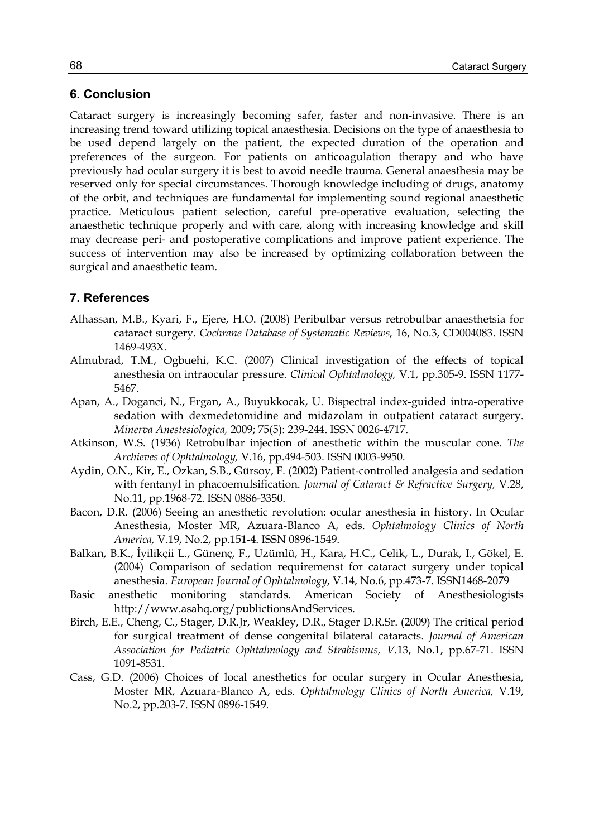## **6. Conclusion**

Cataract surgery is increasingly becoming safer, faster and non-invasive. There is an increasing trend toward utilizing topical anaesthesia. Decisions on the type of anaesthesia to be used depend largely on the patient, the expected duration of the operation and preferences of the surgeon. For patients on anticoagulation therapy and who have previously had ocular surgery it is best to avoid needle trauma. General anaesthesia may be reserved only for special circumstances. Thorough knowledge including of drugs, anatomy of the orbit, and techniques are fundamental for implementing sound regional anaesthetic practice. Meticulous patient selection, careful pre-operative evaluation, selecting the anaesthetic technique properly and with care, along with increasing knowledge and skill may decrease peri- and postoperative complications and improve patient experience. The success of intervention may also be increased by optimizing collaboration between the surgical and anaesthetic team.

## **7. References**

- Alhassan, M.B., Kyari, F., Ejere, H.O. (2008) Peribulbar versus retrobulbar anaesthetsia for cataract surgery. *Cochrane Database of Systematic Reviews,* 16, No.3, CD004083. ISSN 1469-493X.
- Almubrad, T.M., Ogbuehi, K.C. (2007) Clinical investigation of the effects of topical anesthesia on intraocular pressure. *Clinical Ophtalmology,* V.1, pp.305-9. ISSN 1177- 5467.
- Apan, A., Doganci, N., Ergan, A., Buyukkocak, U. Bispectral index-guided intra-operative sedation with dexmedetomidine and midazolam in outpatient cataract surgery. *Minerva Anestesiologica,* 2009; 75(5): 239-244. ISSN 0026-4717.
- Atkinson, W.S. (1936) Retrobulbar injection of anesthetic within the muscular cone. *The Archieves of Ophtalmology,* V.16, pp.494-503. ISSN 0003-9950.
- Aydin, O.N., Kir, E., Ozkan, S.B., Gürsoy, F. (2002) Patient-controlled analgesia and sedation with fentanyl in phacoemulsification. *Journal of Cataract & Refractive Surgery,* V.28, No.11, pp.1968-72. ISSN 0886-3350.
- Bacon, D.R. (2006) Seeing an anesthetic revolution: ocular anesthesia in history. In Ocular Anesthesia, Moster MR, Azuara-Blanco A, eds. *Ophtalmology Clinics of North America,* V.19, No.2, pp.151-4. ISSN 0896-1549.
- Balkan, B.K., İyilikçii L., Günenç, F., Uzümlü, H., Kara, H.C., Celik, L., Durak, I., Gökel, E. (2004) Comparison of sedation requiremenst for cataract surgery under topical anesthesia. *European Journal of Ophtalmology*, V.14, No.6, pp.473-7. ISSN1468-2079
- Basic anesthetic monitoring standards. American Society of Anesthesiologists http://www.asahq.org/publictionsAndServices.
- Birch, E.E., Cheng, C., Stager, D.R.Jr, Weakley, D.R., Stager D.R.Sr. (2009) The critical period for surgical treatment of dense congenital bilateral cataracts. *Journal of American Association for Pediatric Ophtalmology and Strabismus, V.*13, No.1, pp.67-71. ISSN 1091-8531.
- Cass, G.D. (2006) Choices of local anesthetics for ocular surgery in Ocular Anesthesia, Moster MR, Azuara-Blanco A, eds. *Ophtalmology Clinics of North America,* V.19, No.2, pp.203-7. ISSN 0896-1549.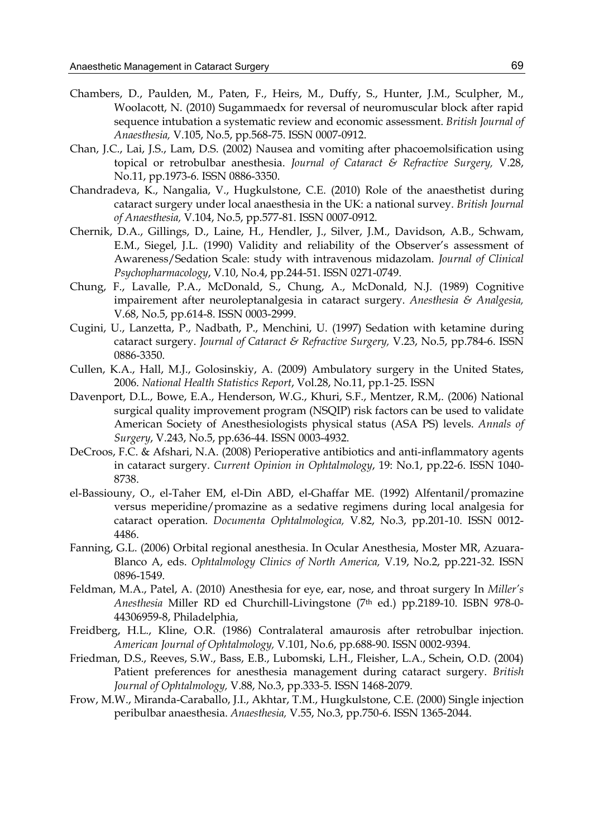- Chambers, D., Paulden, M., Paten, F., Heirs, M., Duffy, S., Hunter, J.M., Sculpher, M., Woolacott, N. (2010) Sugammaedx for reversal of neuromuscular block after rapid sequence intubation a systematic review and economic assessment. *British Journal of Anaesthesia,* V.105, No.5, pp.568-75. ISSN 0007-0912.
- Chan, J.C., Lai, J.S., Lam, D.S. (2002) Nausea and vomiting after phacoemolsification using topical or retrobulbar anesthesia. *Journal of Cataract & Refractive Surgery,* V.28, No.11, pp.1973-6. ISSN 0886-3350.
- Chandradeva, K., Nangalia, V., Hugkulstone, C.E. (2010) Role of the anaesthetist during cataract surgery under local anaesthesia in the UK: a national survey. *British Journal of Anaesthesia,* V.104, No.5, pp.577-81. ISSN 0007-0912.
- Chernik, D.A., Gillings, D., Laine, H., Hendler, J., Silver, J.M., Davidson, A.B., Schwam, E.M., Siegel, J.L. (1990) Validity and reliability of the Observer's assessment of Awareness/Sedation Scale: study with intravenous midazolam. *Journal of Clinical Psychopharmacology*, V.10, No.4, pp.244-51. ISSN 0271-0749.
- Chung, F., Lavalle, P.A., McDonald, S., Chung, A., McDonald, N.J. (1989) Cognitive impairement after neuroleptanalgesia in cataract surgery. *Anesthesia & Analgesia,* V.68, No.5, pp.614-8. ISSN 0003-2999.
- Cugini, U., Lanzetta, P., Nadbath, P., Menchini, U. (1997) Sedation with ketamine during cataract surgery. *Journal of Cataract & Refractive Surgery,* V.23, No.5, pp.784-6. ISSN 0886-3350.
- Cullen, K.A., Hall, M.J., Golosinskiy, A. (2009) Ambulatory surgery in the United States, 2006. *National Health Statistics Report*, Vol.28, No.11, pp.1-25. ISSN
- Davenport, D.L., Bowe, E.A., Henderson, W.G., Khuri, S.F., Mentzer, R.M,. (2006) National surgical quality improvement program (NSQIP) risk factors can be used to validate American Society of Anesthesiologists physical status (ASA PS) levels. *Annals of Surgery*, V.243, No.5, pp.636-44. ISSN 0003-4932.
- DeCroos, F.C. & Afshari, N.A. (2008) Perioperative antibiotics and anti-inflammatory agents in cataract surgery. *Current Opinion in Ophtalmology*, 19: No.1, pp.22-6. ISSN 1040- 8738.
- el-Bassiouny, O., el-Taher EM, el-Din ABD, el-Ghaffar ME. (1992) Alfentanil/promazine versus meperidine/promazine as a sedative regimens during local analgesia for cataract operation. *Documenta Ophtalmologica,* V.82, No.3, pp.201-10. ISSN 0012- 4486.
- Fanning, G.L. (2006) Orbital regional anesthesia. In Ocular Anesthesia, Moster MR, Azuara-Blanco A, eds. *Ophtalmology Clinics of North America,* V.19, No.2, pp.221-32. ISSN 0896-1549.
- Feldman, M.A., Patel, A. (2010) Anesthesia for eye, ear, nose, and throat surgery In *Miller's Anesthesia* Miller RD ed Churchill-Livingstone (7th ed.) pp.2189-10. ISBN 978-0- 44306959-8, Philadelphia,
- Freidberg, H.L., Kline, O.R. (1986) Contralateral amaurosis after retrobulbar injection. *American Journal of Ophtalmology,* V.101, No.6, pp.688-90. ISSN 0002-9394.
- Friedman, D.S., Reeves, S.W., Bass, E.B., Lubomski, L.H., Fleisher, L.A., Schein, O.D. (2004) Patient preferences for anesthesia management during cataract surgery. *British Journal of Ophtalmology,* V.88, No.3, pp.333-5. ISSN 1468-2079.
- Frow, M.W., Miranda-Caraballo, J.I., Akhtar, T.M., Huıgkulstone, C.E. (2000) Single injection peribulbar anaesthesia. *Anaesthesia,* V.55, No.3, pp.750-6. ISSN 1365-2044.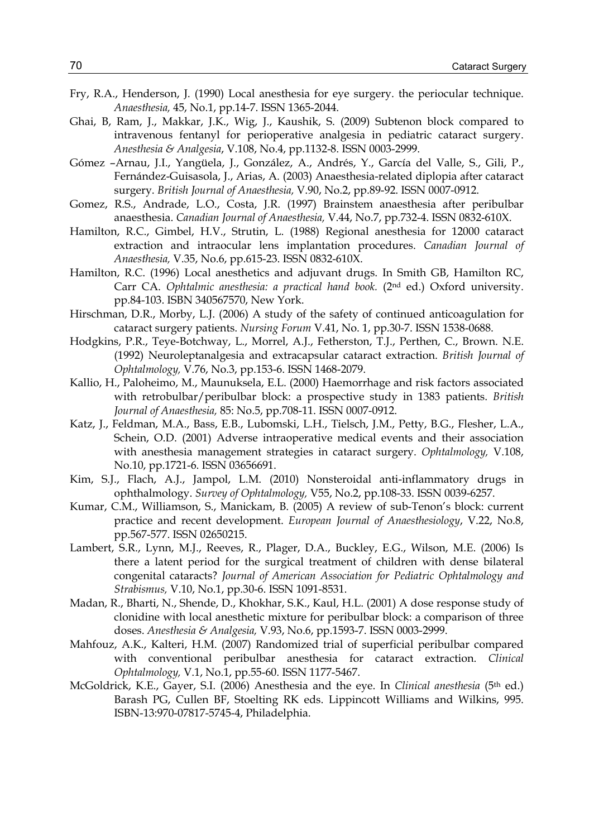- Fry, R.A., Henderson, J. (1990) Local anesthesia for eye surgery. the periocular technique. *Anaesthesia,* 45, No.1, pp.14-7. ISSN 1365-2044.
- Ghai, B, Ram, J., Makkar, J.K., Wig, J., Kaushik, S. (2009) Subtenon block compared to intravenous fentanyl for perioperative analgesia in pediatric cataract surgery. *Anesthesia & Analgesia*, V.108, No.4, pp.1132-8. ISSN 0003-2999.
- Gómez –Arnau, J.I., Yangüela, J., González, A., Andrés, Y., García del Valle, S., Gili, P., Fernández-Guisasola, J., Arias, A. (2003) Anaesthesia-related diplopia after cataract surgery. *British Journal of Anaesthesia,* V.90, No.2, pp.89-92. ISSN 0007-0912.
- Gomez, R.S., Andrade, L.O., Costa, J.R. (1997) Brainstem anaesthesia after peribulbar anaesthesia. *Canadian Journal of Anaesthesia,* V.44, No.7, pp.732-4. ISSN 0832-610X.
- Hamilton, R.C., Gimbel, H.V., Strutin, L. (1988) Regional anesthesia for 12000 cataract extraction and intraocular lens implantation procedures. *Canadian Journal of Anaesthesia,* V.35, No.6, pp.615-23. ISSN 0832-610X.
- Hamilton, R.C. (1996) Local anesthetics and adjuvant drugs. In Smith GB, Hamilton RC, Carr CA. *Ophtalmic anesthesia: a practical hand book.* (2nd ed.) Oxford university. pp.84-103. ISBN 340567570, New York.
- Hirschman, D.R., Morby, L.J. (2006) A study of the safety of continued anticoagulation for cataract surgery patients. *Nursing Forum* V.41, No. 1, pp.30-7. ISSN 1538-0688.
- Hodgkins, P.R., Teye-Botchway, L., Morrel, A.J., Fetherston, T.J., Perthen, C., Brown. N.E. (1992) Neuroleptanalgesia and extracapsular cataract extraction. *British Journal of Ophtalmology,* V.76, No.3, pp.153-6. ISSN 1468-2079.
- Kallio, H., Paloheimo, M., Maunuksela, E.L. (2000) Haemorrhage and risk factors associated with retrobulbar/peribulbar block: a prospective study in 1383 patients. *British Journal of Anaesthesia,* 85: No.5, pp.708-11. ISSN 0007-0912.
- Katz, J., Feldman, M.A., Bass, E.B., Lubomski, L.H., Tielsch, J.M., Petty, B.G., Flesher, L.A., Schein, O.D. (2001) Adverse intraoperative medical events and their association with anesthesia management strategies in cataract surgery. *Ophtalmology,* V.108, No.10, pp.1721-6. ISSN 03656691.
- Kim, S.J., Flach, A.J., Jampol, L.M. (2010) Nonsteroidal anti-inflammatory drugs in ophthalmology. *Survey of Ophtalmology,* V55, No.2, pp.108-33. ISSN 0039-6257.
- Kumar, C.M., Williamson, S., Manickam, B. (2005) A review of sub-Tenon's block: current practice and recent development. *European Journal of Anaesthesiology*, V.22, No.8, pp.567-577. ISSN 02650215.
- Lambert, S.R., Lynn, M.J., Reeves, R., Plager, D.A., Buckley, E.G., Wilson, M.E. (2006) Is there a latent period for the surgical treatment of children with dense bilateral congenital cataracts? *Journal of American Association for Pediatric Ophtalmology and Strabismus,* V.10, No.1, pp.30-6. ISSN 1091-8531.
- Madan, R., Bharti, N., Shende, D., Khokhar, S.K., Kaul, H.L. (2001) A dose response study of clonidine with local anesthetic mixture for peribulbar block: a comparison of three doses. *Anesthesia & Analgesia,* V.93, No.6, pp.1593-7. ISSN 0003-2999.
- Mahfouz, A.K., Kalteri, H.M. (2007) Randomized trial of superficial peribulbar compared with conventional peribulbar anesthesia for cataract extraction. *Clinical Ophtalmology,* V.1, No.1, pp.55-60. ISSN 1177-5467.
- McGoldrick, K.E., Gayer, S.I. (2006) Anesthesia and the eye. In *Clinical anesthesia* (5th ed.) Barash PG, Cullen BF, Stoelting RK eds. Lippincott Williams and Wilkins, 995. ISBN-13:970-07817-5745-4, Philadelphia.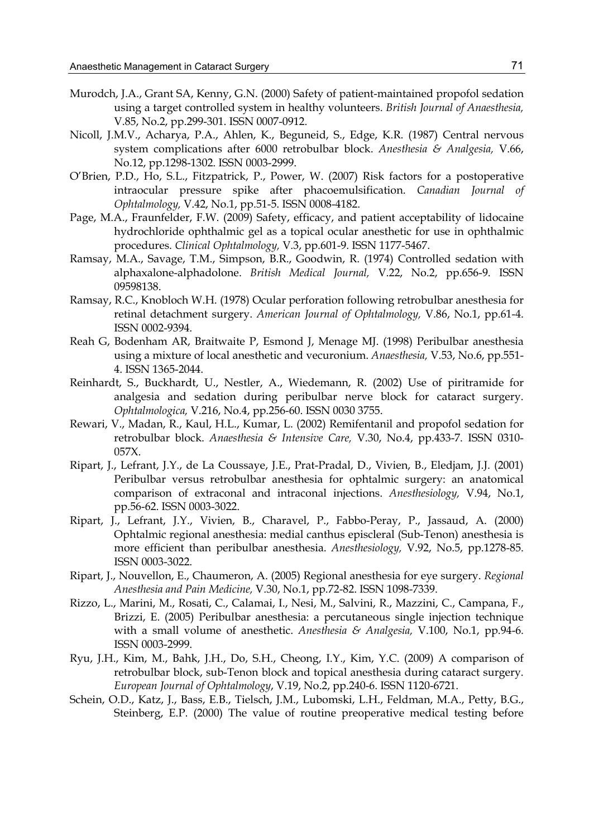- Murodch, J.A., Grant SA, Kenny, G.N. (2000) Safety of patient-maintained propofol sedation using a target controlled system in healthy volunteers. *British Journal of Anaesthesia,*  V.85, No.2, pp.299-301. ISSN 0007-0912.
- Nicoll, J.M.V., Acharya, P.A., Ahlen, K., Beguneid, S., Edge, K.R. (1987) Central nervous system complications after 6000 retrobulbar block. *Anesthesia & Analgesia,* V.66, No.12, pp.1298-1302. ISSN 0003-2999.
- O'Brien, P.D., Ho, S.L., Fitzpatrick, P., Power, W. (2007) Risk factors for a postoperative intraocular pressure spike after phacoemulsification. *Canadian Journal of Ophtalmology,* V.42, No.1, pp.51-5. ISSN 0008-4182.
- Page, M.A., Fraunfelder, F.W. (2009) Safety, efficacy, and patient acceptability of lidocaine hydrochloride ophthalmic gel as a topical ocular anesthetic for use in ophthalmic procedures. *Clinical Ophtalmology,* V.3, pp.601-9. ISSN 1177-5467.
- Ramsay, M.A., Savage, T.M., Simpson, B.R., Goodwin, R. (1974) Controlled sedation with alphaxalone-alphadolone. *British Medical Journal,* V.22, No.2, pp.656-9. ISSN 09598138.
- Ramsay, R.C., Knobloch W.H. (1978) Ocular perforation following retrobulbar anesthesia for retinal detachment surgery. *American Journal of Ophtalmology,* V.86, No.1, pp.61-4. ISSN 0002-9394.
- Reah G, Bodenham AR, Braitwaite P, Esmond J, Menage MJ. (1998) Peribulbar anesthesia using a mixture of local anesthetic and vecuronium. *Anaesthesia,* V.53, No.6, pp.551- 4. ISSN 1365-2044.
- Reinhardt, S., Buckhardt, U., Nestler, A., Wiedemann, R. (2002) Use of piritramide for analgesia and sedation during peribulbar nerve block for cataract surgery. *Ophtalmologica,* V.216, No.4, pp.256-60. ISSN 0030 3755.
- Rewari, V., Madan, R., Kaul, H.L., Kumar, L. (2002) Remifentanil and propofol sedation for retrobulbar block. *Anaesthesia & Intensive Care,* V.30, No.4, pp.433-7. ISSN 0310- 057X.
- Ripart, J., Lefrant, J.Y., de La Coussaye, J.E., Prat-Pradal, D., Vivien, B., Eledjam, J.J. (2001) Peribulbar versus retrobulbar anesthesia for ophtalmic surgery: an anatomical comparison of extraconal and intraconal injections. *Anesthesiology,* V.94, No.1, pp.56-62. ISSN 0003-3022.
- Ripart, J., Lefrant, J.Y., Vivien, B., Charavel, P., Fabbo-Peray, P., Jassaud, A. (2000) Ophtalmic regional anesthesia: medial canthus episcleral (Sub-Tenon) anesthesia is more efficient than peribulbar anesthesia. *Anesthesiology,* V.92, No.5, pp.1278-85. ISSN 0003-3022.
- Ripart, J., Nouvellon, E., Chaumeron, A. (2005) Regional anesthesia for eye surgery. *Regional Anesthesia and Pain Medicine,* V.30, No.1, pp.72-82. ISSN 1098-7339.
- Rizzo, L., Marini, M., Rosati, C., Calamai, I., Nesi, M., Salvini, R., Mazzini, C., Campana, F., Brizzi, E. (2005) Peribulbar anesthesia: a percutaneous single injection technique with a small volume of anesthetic. *Anesthesia & Analgesia,* V.100, No.1, pp.94-6. ISSN 0003-2999.
- Ryu, J.H., Kim, M., Bahk, J.H., Do, S.H., Cheong, I.Y., Kim, Y.C. (2009) A comparison of retrobulbar block, sub-Tenon block and topical anesthesia during cataract surgery. *European Journal of Ophtalmology*, V.19, No.2, pp.240-6. ISSN 1120-6721.
- Schein, O.D., Katz, J., Bass, E.B., Tielsch, J.M., Lubomski, L.H., Feldman, M.A., Petty, B.G., Steinberg, E.P. (2000) The value of routine preoperative medical testing before